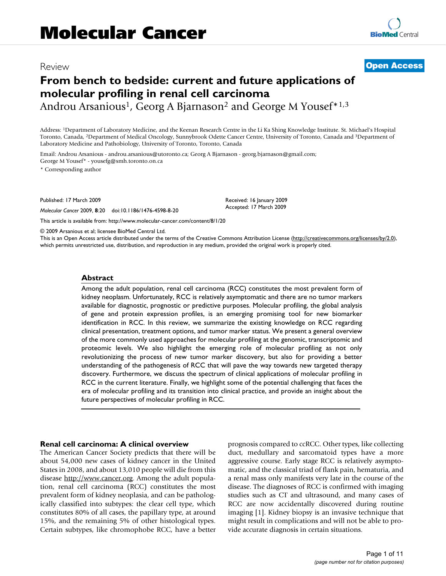# Review **[Open Access](http://www.biomedcentral.com/info/about/charter/)**

# **From bench to bedside: current and future applications of molecular profiling in renal cell carcinoma**

Androu Arsanious<sup>1</sup>, Georg A Bjarnason<sup>2</sup> and George M Yousef<sup>\*1,3</sup>

Address: 1Department of Laboratory Medicine, and the Keenan Research Centre in the Li Ka Shing Knowledge Institute. St. Michael's Hospital Toronto, Canada, 2Department of Medical Oncology, Sunnybrook Odette Cancer Centre, University of Toronto, Canada and 3Department of Laboratory Medicine and Pathobiology, University of Toronto, Toronto, Canada

Email: Androu Arsanious - androu.arsanious@utoronto.ca; Georg A Bjarnason - georg.bjarnason@gmail.com; George M Yousef\* - yousefg@smh.toronto.on.ca

\* Corresponding author

Published: 17 March 2009

*Molecular Cancer* 2009, **8**:20 doi:10.1186/1476-4598-8-20

[This article is available from: http://www.molecular-cancer.com/content/8/1/20](http://www.molecular-cancer.com/content/8/1/20)

© 2009 Arsanious et al; licensee BioMed Central Ltd.

This is an Open Access article distributed under the terms of the Creative Commons Attribution License [\(http://creativecommons.org/licenses/by/2.0\)](http://creativecommons.org/licenses/by/2.0), which permits unrestricted use, distribution, and reproduction in any medium, provided the original work is properly cited.

Received: 16 January 2009 Accepted: 17 March 2009

#### **Abstract**

Among the adult population, renal cell carcinoma (RCC) constitutes the most prevalent form of kidney neoplasm. Unfortunately, RCC is relatively asymptomatic and there are no tumor markers available for diagnostic, prognostic or predictive purposes. Molecular profiling, the global analysis of gene and protein expression profiles, is an emerging promising tool for new biomarker identification in RCC. In this review, we summarize the existing knowledge on RCC regarding clinical presentation, treatment options, and tumor marker status. We present a general overview of the more commonly used approaches for molecular profiling at the genomic, transcriptomic and proteomic levels. We also highlight the emerging role of molecular profiling as not only revolutionizing the process of new tumor marker discovery, but also for providing a better understanding of the pathogenesis of RCC that will pave the way towards new targeted therapy discovery. Furthermore, we discuss the spectrum of clinical applications of molecular profiling in RCC in the current literature. Finally, we highlight some of the potential challenging that faces the era of molecular profiling and its transition into clinical practice, and provide an insight about the future perspectives of molecular profiling in RCC.

#### **Renal cell carcinoma: A clinical overview**

The American Cancer Society predicts that there will be about 54,000 new cases of kidney cancer in the United States in 2008, and about 13,010 people will die from this disease <http://www.cancer.org>. Among the adult population, renal cell carcinoma (RCC) constitutes the most prevalent form of kidney neoplasia, and can be pathologically classified into subtypes: the clear cell type, which constitutes 80% of all cases, the papillary type, at around 15%, and the remaining 5% of other histological types. Certain subtypes, like chromophobe RCC, have a better prognosis compared to ccRCC. Other types, like collecting duct, medullary and sarcomatoid types have a more aggressive course. Early stage RCC is relatively asymptomatic, and the classical triad of flank pain, hematuria, and a renal mass only manifests very late in the course of the disease. The diagnoses of RCC is confirmed with imaging studies such as CT and ultrasound, and many cases of RCC are now accidentally discovered during routine imaging [1]. Kidney biopsy is an invasive technique that might result in complications and will not be able to provide accurate diagnosis in certain situations.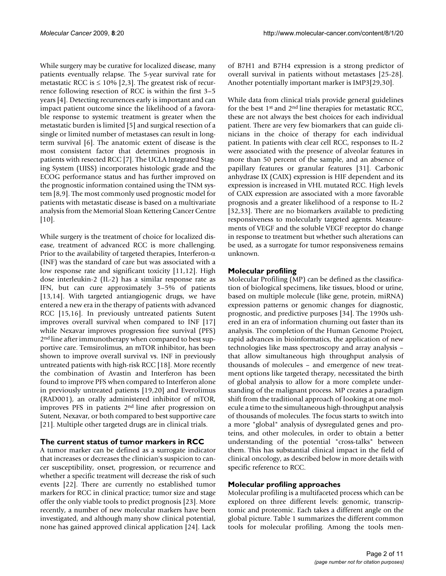While surgery may be curative for localized disease, many patients eventually relapse. The 5-year survival rate for metastatic RCC is  $\leq 10\%$  [2,3]. The greatest risk of recurrence following resection of RCC is within the first 3–5 years [4]. Detecting recurrences early is important and can impact patient outcome since the likelihood of a favorable response to systemic treatment is greater when the metastatic burden is limited [5] and surgical resection of a single or limited number of metastases can result in longterm survival [6]. The anatomic extent of disease is the most consistent factor that determines prognosis in patients with resected RCC [7]. The UCLA Integrated Staging System (UISS) incorporates histologic grade and the ECOG performance status and has further improved on the prognostic information contained using the TNM system [8,9]. The most commonly used prognostic model for patients with metastatic disease is based on a multivariate analysis from the Memorial Sloan Kettering Cancer Centre  $[10]$ .

While surgery is the treatment of choice for localized disease, treatment of advanced RCC is more challenging. Prior to the availability of targeted therapies, Interferon- $\alpha$ (INF) was the standard of care but was associated with a low response rate and significant toxicity [[11,](#page-8-0)12]. High dose interleukin-2 (IL-2) has a similar response rate as IFN, but can cure approximately 3–5% of patients [13,14]. With targeted antiangiogenic drugs, we have entered a new era in the therapy of patients with advanced RCC [15,16]. In previously untreated patients Sutent improves overall survival when compared to INF [17] while Nexavar improves progression free survival (PFS) 2<sup>nd</sup> line after immunotherapy when compared to best supportive care. Temsirolimus, an mTOR inhibitor, has been shown to improve overall survival vs. INF in previously untreated patients with high-risk RCC [18]. More recently the combination of Avastin and Interferon has been found to improve PFS when compared to Interferon alone in previously untreated patients [19,20] and Everolimus (RAD001), an orally administered inhibitor of mTOR, improves PFS in patients 2nd line after progression on Sutent, Nexavar, or both compared to best supportive care [21]. Multiple other targeted drugs are in clinical trials.

# **The current status of tumor markers in RCC**

A tumor marker can be defined as a surrogate indicator that increases or decreases the clinician's suspicion to cancer susceptibility, onset, progression, or recurrence and whether a specific treatment will decrease the risk of such events [22]. There are currently no established tumor markers for RCC in clinical practice; tumor size and stage offer the only viable tools to predict prognosis [23]. More recently, a number of new molecular markers have been investigated, and although many show clinical potential, none has gained approved clinical application [24]. Lack of B7H1 and B7H4 expression is a strong predictor of overall survival in patients without metastases [25-28]. Another potentially important marker is IMP3[29,30].

While data from clinical trials provide general guidelines for the best 1st and 2nd line therapies for metastatic RCC, these are not always the best choices for each individual patient. There are very few biomarkers that can guide clinicians in the choice of therapy for each individual patient. In patients with clear cell RCC, responses to IL-2 were associated with the presence of alveolar features in more than 50 percent of the sample, and an absence of papillary features or granular features [31]. Carbonic anhydrase IX (CAIX) expression is HIF dependent and its expression is increased in VHL mutated RCC. High levels of CAIX expression are associated with a more favorable prognosis and a greater likelihood of a response to IL-2 [32,33]. There are no biomarkers available to predicting responsiveness to molecularly targeted agents. Measurements of VEGF and the soluble VEGF receptor do change in response to treatment but whether such alterations can be used, as a surrogate for tumor responsiveness remains unknown.

# **Molecular profiling**

Molecular Profiling (MP) can be defined as the classification of biological specimens, like tissues, blood or urine, based on multiple molecule (like gene, protein, miRNA) expression patterns or genomic changes for diagnostic, prognostic, and predictive purposes [34]. The 1990s ushered in an era of information churning out faster than its analysis. The completion of the Human Genome Project, rapid advances in bioinformatics, the application of new technologies like mass spectroscopy and array analysis – that allow simultaneous high throughput analysis of thousands of molecules – and emergence of new treatment options like targeted therapy, necessitated the birth of global analysis to allow for a more complete understanding of the malignant process. MP creates a paradigm shift from the traditional approach of looking at one molecule a time to the simultaneous high-throughput analysis of thousands of molecules. The focus starts to switch into a more "global" analysis of dysregulated genes and proteins, and other molecules, in order to obtain a better understanding of the potential "cross-talks" between them. This has substantial clinical impact in the field of clinical oncology, as described below in more details with specific reference to RCC.

# **Molecular profiling approaches**

Molecular profiling is a multifaceted process which can be explored on three different levels: genomic, transcriptomic and proteomic. Each takes a different angle on the global picture. Table 1 summarizes the different common tools for molecular profiling. Among the tools men-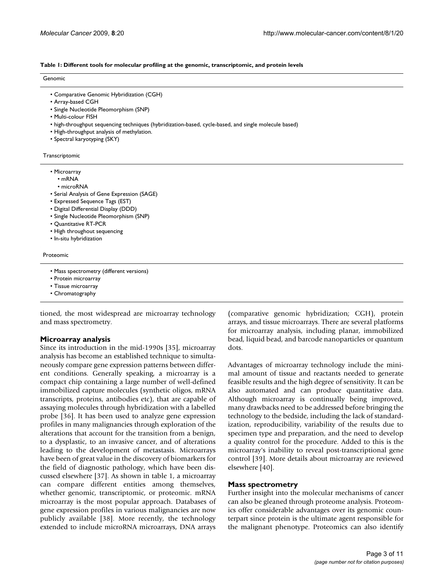#### **Table 1: Different tools for molecular profiling at the genomic, transcriptomic, and protein levels**

#### Genomic

- Comparative Genomic Hybridization (CGH)
- Array-based CGH
- Single Nucleotide Pleomorphism (SNP)
- Multi-colour FISH
- high-throughput sequencing techniques (hybridization-based, cycle-based, and single molecule based)
- High-throughput analysis of methylation.
- Spectral karyotyping (SKY)

#### Transcriptomic

- Microarray
	- mRNA
	- microRNA
- Serial Analysis of Gene Expression (SAGE)
- Expressed Sequence Tags (EST)
- Digital Differential Display (DDD)
- Single Nucleotide Pleomorphism (SNP)
- Quantitative RT-PCR
- High throughout sequencing
- In-situ hybridization

#### Proteomic

- Mass spectrometry (different versions)
- Protein microarray
- Tissue microarray
- Chromatography

tioned, the most widespread are microarray technology and mass spectrometry.

#### **Microarray analysis**

Since its introduction in the mid-1990s [35], microarray analysis has become an established technique to simultaneously compare gene expression patterns between different conditions. Generally speaking, a microarray is a compact chip containing a large number of well-defined immobilized capture molecules (synthetic oligos, mRNA transcripts, proteins, antibodies etc), that are capable of assaying molecules through hybridization with a labelled probe [36]. It has been used to analyze gene expression profiles in many malignancies through exploration of the alterations that account for the transition from a benign, to a dysplastic, to an invasive cancer, and of alterations leading to the development of metastasis. Microarrays have been of great value in the discovery of biomarkers for the field of diagnostic pathology, which have been discussed elsewhere [37]. As shown in table 1, a microarray can compare different entities among themselves, whether genomic, transcriptomic, or proteomic. mRNA microarray is the most popular approach. Databases of gene expression profiles in various malignancies are now publicly available [38]. More recently, the technology extended to include microRNA microarrays, DNA arrays

(comparative genomic hybridization; CGH), protein arrays, and tissue microarrays. There are several platforms for microarray analysis, including planar, immobilized bead, liquid bead, and barcode nanoparticles or quantum dots.

Advantages of microarray technology include the minimal amount of tissue and reactants needed to generate feasible results and the high degree of sensitivity. It can be also automated and can produce quantitative data. Although microarray is continually being improved, many drawbacks need to be addressed before bringing the technology to the bedside, including the lack of standardization, reproducibility, variability of the results due to specimen type and preparation, and the need to develop a quality control for the procedure. Added to this is the microarray's inability to reveal post-transcriptional gene control [39]. More details about microarray are reviewed elsewhere [40].

#### **Mass spectrometry**

Further insight into the molecular mechanisms of cancer can also be gleaned through proteome analysis. Proteomics offer considerable advantages over its genomic counterpart since protein is the ultimate agent responsible for the malignant phenotype. Proteomics can also identify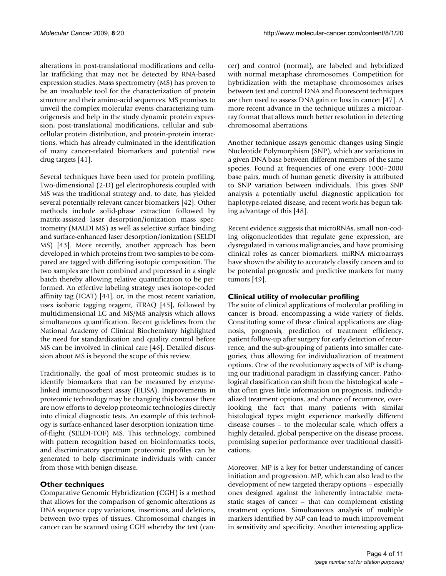alterations in post-translational modifications and cellular trafficking that may not be detected by RNA-based expression studies. Mass spectrometry (MS) has proven to be an invaluable tool for the characterization of protein structure and their amino-acid sequences. MS promises to unveil the complex molecular events characterizing tumorigenesis and help in the study dynamic protein expression, post-translational modifications, cellular and subcellular protein distribution, and protein-protein interactions, which has already culminated in the identification of many cancer-related biomarkers and potential new drug targets [41].

Several techniques have been used for protein profiling. Two-dimensional (2-D) gel electrophoresis coupled with MS was the traditional strategy and, to date, has yielded several potentially relevant cancer biomarkers [42]. Other methods include solid-phase extraction followed by matrix-assisted laser desorption/ionization mass spectrometry (MALDI MS) as well as selective surface binding and surface-enhanced laser desorption/ionization (SELDI MS) [43]. More recently, another approach has been developed in which proteins from two samples to be compared are tagged with differing isotopic composition. The two samples are then combined and processed in a single batch thereby allowing relative quantification to be performed. An effective labeling strategy uses isotope-coded affinity tag (ICAT) [44], or, in the most recent variation, uses isobaric tagging reagent, iTRAQ [45], followed by multidimensional LC and MS/MS analysis which allows simultaneous quantification. Recent guidelines from the National Academy of Clinical Biochemistry highlighted the need for standardization and quality control before MS can be involved in clinical care [46]. Detailed discussion about MS is beyond the scope of this review.

Traditionally, the goal of most proteomic studies is to identify biomarkers that can be measured by enzymelinked immunosorbent assay (ELISA). Improvements in proteomic technology may be changing this because there are now efforts to develop proteomic technologies directly into clinical diagnostic tests. An example of this technology is surface-enhanced laser desorption ionization timeof-flight (SELDI-TOF) MS. This technology, combined with pattern recognition based on bioinformatics tools, and discriminatory spectrum proteomic profiles can be generated to help discriminate individuals with cancer from those with benign disease.

# **Other techniques**

Comparative Genomic Hybridization (CGH) is a method that allows for the comparison of genomic alterations as DNA sequence copy variations, insertions, and deletions, between two types of tissues. Chromosomal changes in cancer can be scanned using CGH whereby the test (cancer) and control (normal), are labeled and hybridized with normal metaphase chromosomes. Competition for hybridization with the metaphase chromosomes arises between test and control DNA and fluorescent techniques are then used to assess DNA gain or loss in cancer [47]. A more recent advance in the technique utilizes a microarray format that allows much better resolution in detecting chromosomal aberrations.

Another technique assays genomic changes using Single Nucleotide Polymorphism (SNP), which are variations in a given DNA base between different members of the same species. Found at frequencies of one every 1000–2000 base pairs, much of human genetic diversity is attributed to SNP variation between individuals. This gives SNP analysis a potentially useful diagnostic application for haplotype-related disease, and recent work has begun taking advantage of this [48].

Recent evidence suggests that microRNAs, small non-coding oligonucleotides that regulate gene expression, are dysregulated in various malignancies, and have promising clinical roles as cancer biomarkers. miRNA microarrays have shown the ability to accurately classify cancers and to be potential prognostic and predictive markers for many tumors [49].

# **Clinical utility of molecular profiling**

The suite of clinical applications of molecular profiling in cancer is broad, encompassing a wide variety of fields. Constituting some of these clinical applications are diagnosis, prognosis, prediction of treatment efficiency, patient follow-up after surgery for early detection of recurrence, and the sub-grouping of patients into smaller categories, thus allowing for individualization of treatment options. One of the revolutionary aspects of MP is changing our traditional paradigm in classifying cancer. Pathological classification can shift from the histological scale – that often gives little information on prognosis, individualized treatment options, and chance of recurrence, overlooking the fact that many patients with similar histological types might experience markedly different disease courses – to the molecular scale, which offers a highly detailed, global perspective on the disease process, promising superior performance over traditional classifications.

Moreover, MP is a key for better understanding of cancer initiation and progression. MP, which can also lead to the development of new targeted therapy options – especially ones designed against the inherently intractable metastatic stages of cancer – that can complement existing treatment options. Simultaneous analysis of multiple markers identified by MP can lead to much improvement in sensitivity and specificity. Another interesting applica-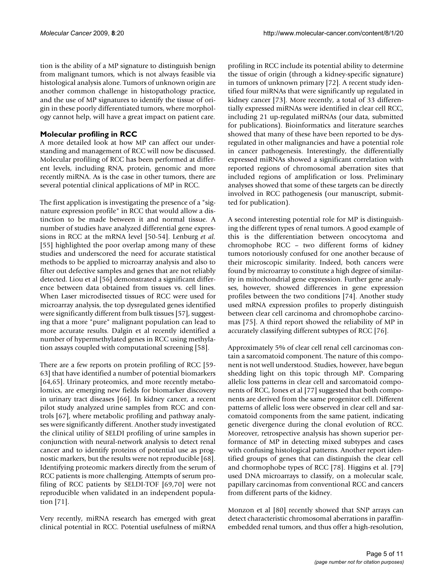tion is the ability of a MP signature to distinguish benign from malignant tumors, which is not always feasible via histological analysis alone. Tumors of unknown origin are another common challenge in histopathology practice, and the use of MP signatures to identify the tissue of origin in these poorly differentiated tumors, where morphology cannot help, will have a great impact on patient care.

# **Molecular profiling in RCC**

A more detailed look at how MP can affect our understanding and management of RCC will now be discussed. Molecular profiling of RCC has been performed at different levels, including RNA, protein, genomic and more recently miRNA. As is the case in other tumors, there are several potential clinical applications of MP in RCC.

The first application is investigating the presence of a "signature expression profile" in RCC that would allow a distinction to be made between it and normal tissue. A number of studies have analyzed differential gene expressions in RCC at the mRNA level [50-54]. Lenburg *et al.* [55] highlighted the poor overlap among many of these studies and underscored the need for accurate statistical methods to be applied to microarray analysis and also to filter out defective samples and genes that are not reliably detected. Liou et al [56] demonstrated a significant difference between data obtained from tissues vs. cell lines. When Laser microdisected tissues of RCC were used for microarray analysis, the top dysregulated genes identified were significantly different from bulk tissues [57], suggesting that a more "pure" malignant population can lead to more accurate results. Dalgin et al recently identified a number of hypermethylated genes in RCC using methylation assays coupled with computational screening [58].

There are a few reports on protein profiling of RCC [59- 63] that have identified a number of potential biomarkers [64,65]. Urinary proteomics, and more recently metabolomics, are emerging new fields for biomarker discovery in urinary tract diseases [66]. In kidney cancer, a recent pilot study analyzed urine samples from RCC and controls [67], where metabolic profiling and pathway analyses were significantly different. Another study investigated the clinical utility of SELDI profiling of urine samples in conjunction with neural-network analysis to detect renal cancer and to identify proteins of potential use as prognostic markers, but the results were not reproducible [68]. Identifying proteomic markers directly from the serum of RCC patients is more challenging. Attempts of serum profiling of RCC patients by SELDI-TOF [69,70] were not reproducible when validated in an independent population [71].

Very recently, miRNA research has emerged with great clinical potential in RCC. Potential usefulness of miRNA

profiling in RCC include its potential ability to determine the tissue of origin (through a kidney-specific signature) in tumors of unknown primary [72]. A recent study identified four miRNAs that were significantly up regulated in kidney cancer [73]. More recently, a total of 33 differentially expressed miRNAs were identified in clear cell RCC, including 21 up-regulated miRNAs (our data, submitted for publications). Bioinformatics and literature searches showed that many of these have been reported to be dysregulated in other malignancies and have a potential role in cancer pathogenesis. Interestingly, the differentially expressed miRNAs showed a significant correlation with reported regions of chromosomal aberration sites that included regions of amplification or loss. Preliminary analyses showed that some of these targets can be directly involved in RCC pathogenesis (our manuscript, submitted for publication).

A second interesting potential role for MP is distinguishing the different types of renal tumors. A good example of this is the differentiation between oncocytoma and chromophobe RCC – two different forms of kidney tumors notoriously confused for one another because of their microscopic similarity. Indeed, both cancers were found by microarray to constitute a high degree of similarity in mitochondrial gene expression. Further gene analyses, however, showed differences in gene expression profiles between the two conditions [74]. Another study used mRNA expression profiles to properly distinguish between clear cell carcinoma and chromophobe carcinomas [75]. A third report showed the reliability of MP in accurately classifying different subtypes of RCC [76].

Approximately 5% of clear cell renal cell carcinomas contain a sarcomatoid component. The nature of this component is not well understood. Studies, however, have begun shedding light on this topic through MP. Comparing allelic loss patterns in clear cell and sarcomatoid components of RCC, Jones et al [77] suggested that both components are derived from the same progenitor cell. Different patterns of allelic loss were observed in clear cell and sarcomatoid components from the same patient, indicating genetic divergence during the clonal evolution of RCC. Moreover, retrospective analysis has shown superior performance of MP in detecting mixed subtypes and cases with confusing histological patterns. Another report identified groups of genes that can distinguish the clear cell and chormophobe types of RCC [78]. Higgins et al. [79] used DNA microarrays to classify, on a molecular scale, papillary carcinomas from conventional RCC and cancers from different parts of the kidney.

Monzon et al [80] recently showed that SNP arrays can detect characteristic chromosomal aberrations in paraffinembedded renal tumors, and thus offer a high-resolution,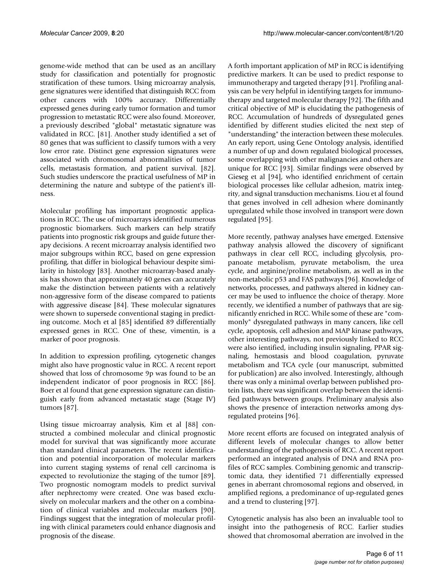genome-wide method that can be used as an ancillary study for classification and potentially for prognostic stratification of these tumors. Using microarray analysis, gene signatures were identified that distinguish RCC from other cancers with 100% accuracy. Differentially expressed genes during early tumor formation and tumor progression to metastatic RCC were also found. Moreover, a previously described "global" metastatic signature was validated in RCC. [81]. Another study identified a set of 80 genes that was sufficient to classify tumors with a very low error rate. Distinct gene expression signatures were associated with chromosomal abnormalities of tumor cells, metastasis formation, and patient survival. [82]. Such studies underscore the practical usefulness of MP in determining the nature and subtype of the patient's illness.

Molecular profiling has important prognostic applications in RCC. The use of microarrays identified numerous prognostic biomarkers. Such markers can help stratify patients into prognostic risk groups and guide future therapy decisions. A recent microarray analysis identified two major subgroups within RCC, based on gene expression profiling, that differ in biological behaviour despite similarity in histology [83]. Another microarray-based analysis has shown that approximately 40 genes can accurately make the distinction between patients with a relatively non-aggressive form of the disease compared to patients with aggressive disease [84]. These molecular signatures were shown to supersede conventional staging in predicting outcome. Moch et al [85] identified 89 differentially expressed genes in RCC. One of these, vimentin, is a marker of poor prognosis.

In addition to expression profiling, cytogenetic changes might also have prognostic value in RCC. A recent report showed that loss of chromosome 9p was found to be an independent indicator of poor prognosis in RCC [86]. Boer et al found that gene expression signature can distinguish early from advanced metastatic stage (Stage IV) tumors [87].

Using tissue microarray analysis, Kim et al [88] constructed a combined molecular and clinical prognostic model for survival that was significantly more accurate than standard clinical parameters. The recent identification and potential incorporation of molecular markers into current staging systems of renal cell carcinoma is expected to revolutionize the staging of the tumor [89]. Two prognostic nomogram models to predict survival after nephrectomy were created. One was based exclusively on molecular markers and the other on a combination of clinical variables and molecular markers [90]. Findings suggest that the integration of molecular profiling with clinical parameters could enhance diagnosis and prognosis of the disease.

A forth important application of MP in RCC is identifying predictive markers. It can be used to predict response to immunotherapy and targeted therapy [91]. Profiling analysis can be very helpful in identifying targets for immunotherapy and targeted molecular therapy [92]. The fifth and critical objective of MP is elucidating the pathogenesis of RCC. Accumulation of hundreds of dysregulated genes identified by different studies elicited the next step of "understanding" the interaction between these molecules. An early report, using Gene Ontology analysis, identified a number of up and down regulated biological processes, some overlapping with other malignancies and others are unique for RCC [93]. Similar findings were observed by Gieseg et al [94], who identified enrichment of certain biological processes like cellular adhesion, matrix integrity, and signal transduction mechanisms. Liou et al found that genes involved in cell adhesion where dominantly upregulated while those involved in transport were down regulated [95].

More recently, pathway analyses have emerged. Extensive pathway analysis allowed the discovery of significant pathways in clear cell RCC, including glycolysis, propanoate metabolism, pyruvate metabolism, the urea cycle, and arginine/proline metabolism, as well as in the non-metabolic p53 and FAS pathways [96]. Knowledge of networks, processes, and pathways altered in kidney cancer may be used to influence the choice of therapy. More recently, we identified a number of pathways that are significantly enriched in RCC. While some of these are "commonly" dysregulated pathways in many cancers, like cell cycle, apoptosis, cell adhesion and MAP kinase pathways, other interesting pathways, not previously linked to RCC were also ientified, including insulin signaling, PPAR signaling, hemostasis and blood coagulation, pyruvate metabolism and TCA cycle (our manuscript, submitted for publication) are also involved. Interestingly, although there was only a minimal overlap between published protein lists, there was significant overlap between the identified pathways between groups. Preliminary analysis also shows the presence of interaction networks among dysregulated proteins [96].

More recent efforts are focused on integrated analysis of different levels of molecular changes to allow better understanding of the pathogenesis of RCC. A recent report performed an integrated analysis of DNA and RNA profiles of RCC samples. Combining genomic and transcriptomic data, they identified 71 differentially expressed genes in aberrant chromosomal regions and observed, in amplified regions, a predominance of up-regulated genes and a trend to clustering [97].

Cytogenetic analysis has also been an invaluable tool to insight into the pathogenesis of RCC. Earlier studies showed that chromosomal aberration are involved in the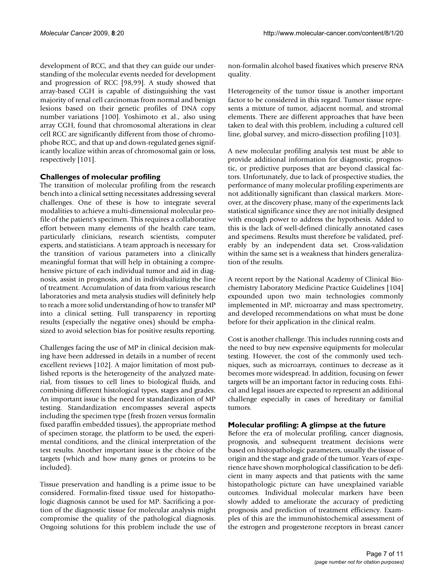development of RCC, and that they can guide our understanding of the molecular events needed for development and progression of RCC [98,99]. A study showed that array-based CGH is capable of distinguishing the vast majority of renal cell carcinomas from normal and benign lesions based on their genetic profiles of DNA copy number variations [100]. Yoshimoto et al., also using array CGH, found that chromosomal alterations in clear cell RCC are significantly different from those of chromophobe RCC, and that up and down-regulated genes significantly localize within areas of chromosomal gain or loss, respectively [101].

# **Challenges of molecular profiling**

The transition of molecular profiling from the research bench into a clinical setting necessitates addressing several challenges. One of these is how to integrate several modalities to achieve a multi-dimensional molecular profile of the patient's specimen. This requires a collaborative effort between many elements of the health care team, particularly clinicians, research scientists, computer experts, and statisticians. A team approach is necessary for the transition of various parameters into a clinically meaningful format that will help in obtaining a comprehensive picture of each individual tumor and aid in diagnosis, assist in prognosis, and in individualizing the line of treatment. Accumulation of data from various research laboratories and meta analysis studies will definitely help to reach a more solid understanding of how to transfer MP into a clinical setting. Full transparency in reporting results (especially the negative ones) should be emphasized to avoid selection bias for positive results reporting.

Challenges facing the use of MP in clinical decision making have been addressed in details in a number of recent excellent reviews [102]. A major limitation of most published reports is the heterogeneity of the analyzed material, from tissues to cell lines to biological fluids, and combining different histological types, stages and grades. An important issue is the need for standardization of MP testing. Standardization encompasses several aspects including the specimen type (fresh frozen versus formalin fixed paraffin embedded tissues), the appropriate method of specimen storage, the platform to be used, the experimental conditions, and the clinical interpretation of the test results. Another important issue is the choice of the targets (which and how many genes or proteins to be included).

Tissue preservation and handling is a prime issue to be considered. Formalin-fixed tissue used for histopathologic diagnosis cannot be used for MP. Sacrificing a portion of the diagnostic tissue for molecular analysis might compromise the quality of the pathological diagnosis. Ongoing solutions for this problem include the use of non-formalin alcohol based fixatives which preserve RNA quality.

Heterogeneity of the tumor tissue is another important factor to be considered in this regard. Tumor tissue represents a mixture of tumor, adjacent normal, and stromal elements. There are different approaches that have been taken to deal with this problem, including a cultured cell line, global survey, and micro-dissection profiling [103].

A new molecular profiling analysis test must be able to provide additional information for diagnostic, prognostic, or predictive purposes that are beyond classical factors. Unfortunately, due to lack of prospective studies, the performance of many molecular profiling experiments are not additionally significant than classical markers. Moreover, at the discovery phase, many of the experiments lack statistical significance since they are not initially designed with enough power to address the hypothesis. Added to this is the lack of well-defined clinically annotated cases and specimens. Results must therefore be validated, preferably by an independent data set. Cross-validation within the same set is a weakness that hinders generalization of the results.

A recent report by the National Academy of Clinical Biochemistry Laboratory Medicine Practice Guidelines [104] expounded upon two main technologies commonly implemented in MP, microarray and mass spectrometry, and developed recommendations on what must be done before for their application in the clinical realm.

Cost is another challenge. This includes running costs and the need to buy new expensive equipments for molecular testing. However, the cost of the commonly used techniques, such as microarrays, continues to decrease as it becomes more widespread. In addition, focusing on fewer targets will be an important factor in reducing costs. Ethical and legal issues are expected to represent an additional challenge especially in cases of hereditary or familial tumors.

# **Molecular profiling: A glimpse at the future**

Before the era of molecular profiling, cancer diagnosis, prognosis, and subsequent treatment decisions were based on histopathologic parameters, usually the tissue of origin and the stage and grade of the tumor. Years of experience have shown morphological classification to be deficient in many aspects and that patients with the same histopathologic picture can have unexplained variable outcomes. Individual molecular markers have been slowly added to ameliorate the accuracy of predicting prognosis and prediction of treatment efficiency. Examples of this are the immunohistochemical assessment of the estrogen and progesterone receptors in breast cancer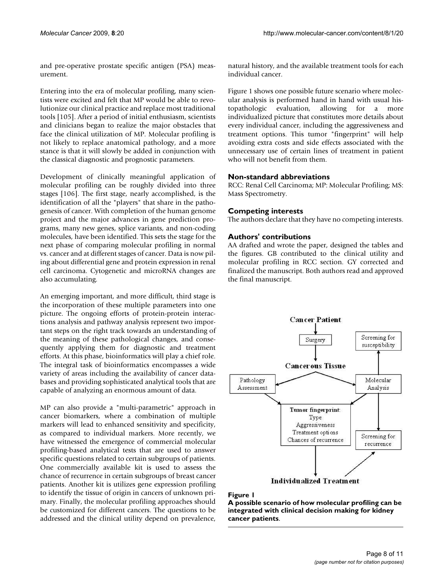and pre-operative prostate specific antigen (PSA) measurement.

Entering into the era of molecular profiling, many scientists were excited and felt that MP would be able to revolutionize our clinical practice and replace most traditional tools [105]. After a period of initial enthusiasm, scientists and clinicians began to realize the major obstacles that face the clinical utilization of MP. Molecular profiling is not likely to replace anatomical pathology, and a more stance is that it will slowly be added in conjunction with the classical diagnostic and prognostic parameters.

Development of clinically meaningful application of molecular profiling can be roughly divided into three stages [106]. The first stage, nearly accomplished, is the identification of all the "players" that share in the pathogenesis of cancer. With completion of the human genome project and the major advances in gene prediction programs, many new genes, splice variants, and non-coding molecules, have been identified. This sets the stage for the next phase of comparing molecular profiling in normal vs. cancer and at different stages of cancer. Data is now piling about differential gene and protein expression in renal cell carcinoma. Cytogenetic and microRNA changes are also accumulating.

An emerging important, and more difficult, third stage is the incorporation of these multiple parameters into one picture. The ongoing efforts of protein-protein interactions analysis and pathway analysis represent two important steps on the right track towards an understanding of the meaning of these pathological changes, and consequently applying them for diagnostic and treatment efforts. At this phase, bioinformatics will play a chief role. The integral task of bioinformatics encompasses a wide variety of areas including the availability of cancer databases and providing sophisticated analytical tools that are capable of analyzing an enormous amount of data.

MP can also provide a "multi-parametric" approach in cancer biomarkers, where a combination of multiple markers will lead to enhanced sensitivity and specificity, as compared to individual markers. More recently, we have witnessed the emergence of commercial molecular profiling-based analytical tests that are used to answer specific questions related to certain subgroups of patients. One commercially available kit is used to assess the chance of recurrence in certain subgroups of breast cancer patients. Another kit is utilizes gene expression profiling to identify the tissue of origin in cancers of unknown primary. Finally, the molecular profiling approaches should be customized for different cancers. The questions to be addressed and the clinical utility depend on prevalence,

natural history, and the available treatment tools for each individual cancer.

Figure 1 shows one possible future scenario where molecular analysis is performed hand in hand with usual histopathologic evaluation, allowing for a more individualized picture that constitutes more details about every individual cancer, including the aggressiveness and treatment options. This tumor "fingerprint" will help avoiding extra costs and side effects associated with the unnecessary use of certain lines of treatment in patient who will not benefit from them.

# **Non-standard abbreviations**

RCC: Renal Cell Carcinoma; MP: Molecular Profiling; MS: Mass Spectrometry.

# **Competing interests**

The authors declare that they have no competing interests.

# **Authors' contributions**

AA drafted and wrote the paper, designed the tables and the figures. GB contributed to the clinical utility and molecular profiling in RCC section. GY corrected and finalized the manuscript. Both authors read and approved the final manuscript.



### Figure 1

**A possible scenario of how molecular profiling can be integrated with clinical decision making for kidney cancer patients**.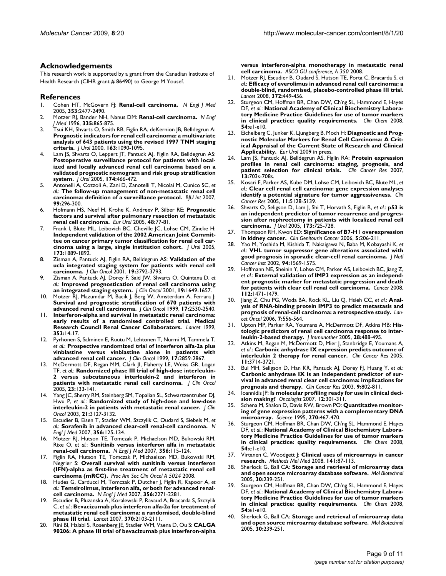#### **Acknowledgements**

This research work is supported by a grant from the Canadian Institute of Health Research (CIHR grant # 86490) to George M Yousef.

#### **References**

- 1. Cohen HT, McGovern FJ: **[Renal-cell carcinoma.](http://www.ncbi.nlm.nih.gov/entrez/query.fcgi?cmd=Retrieve&db=PubMed&dopt=Abstract&list_uids=16339096)** *N Engl J Med* 2005, **353:**2477-2490.
- 2. Motzer RJ, Bander NH, Nanus DM: **[Renal-cell carcinoma.](http://www.ncbi.nlm.nih.gov/entrez/query.fcgi?cmd=Retrieve&db=PubMed&dopt=Abstract&list_uids=8778606)** *N Engl J Med* 1996, **335:**865-875.
- 3. Tsui KH, Shvarts O, Smith RB, Figlin RA, deKernion JB, Belldegrun A: **[Prognostic indicators for renal cell carcinoma: a multivariate](http://www.ncbi.nlm.nih.gov/entrez/query.fcgi?cmd=Retrieve&db=PubMed&dopt=Abstract&list_uids=10737472) analysis of 643 patients using the revised 1997 TNM staging [criteria.](http://www.ncbi.nlm.nih.gov/entrez/query.fcgi?cmd=Retrieve&db=PubMed&dopt=Abstract&list_uids=10737472)** *J Urol* 2000, **163:**1090-1095.
- 4. Lam JS, Shvarts O, Leppert JT, Pantuck AJ, Figlin RA, Belldegrun AS: **[Postoperative surveillance protocol for patients with local](http://www.ncbi.nlm.nih.gov/entrez/query.fcgi?cmd=Retrieve&db=PubMed&dopt=Abstract&list_uids=16006866)ized and locally advanced renal cell carcinoma based on a validated prognostic nomogram and risk group stratification [system.](http://www.ncbi.nlm.nih.gov/entrez/query.fcgi?cmd=Retrieve&db=PubMed&dopt=Abstract&list_uids=16006866)** *J Urol* 2005, **174:**466-472.
- 5. Antonelli A, Cozzoli A, Zani D, Zanotelli T, Nicolai M, Cunico SC, *et al.*: **[The follow-up management of non-metastatic renal cell](http://www.ncbi.nlm.nih.gov/entrez/query.fcgi?cmd=Retrieve&db=PubMed&dopt=Abstract&list_uids=17326263) [carcinoma: definition of a surveillance protocol.](http://www.ncbi.nlm.nih.gov/entrez/query.fcgi?cmd=Retrieve&db=PubMed&dopt=Abstract&list_uids=17326263)** *BJU Int* 2007, **99:**296-300.
- 6. Hofmann HS, Neef H, Krohe K, Andreev P, Silber RE: **[Prognostic](http://www.ncbi.nlm.nih.gov/entrez/query.fcgi?cmd=Retrieve&db=PubMed&dopt=Abstract&list_uids=15967255) [factors and survival after pulmonary resection of metastatic](http://www.ncbi.nlm.nih.gov/entrez/query.fcgi?cmd=Retrieve&db=PubMed&dopt=Abstract&list_uids=15967255) [renal cell carcinoma.](http://www.ncbi.nlm.nih.gov/entrez/query.fcgi?cmd=Retrieve&db=PubMed&dopt=Abstract&list_uids=15967255)** *Eur Urol* 2005, **48:**77-81.
- 7. Frank I, Blute ML, Leibovich BC, Cheville JC, Lohse CM, Zincke H: **[Independent validation of the 2002 American Joint Commit](http://www.ncbi.nlm.nih.gov/entrez/query.fcgi?cmd=Retrieve&db=PubMed&dopt=Abstract&list_uids=15879769)tee on cancer primary tumor classification for renal cell car[cinoma using a large, single institution cohort.](http://www.ncbi.nlm.nih.gov/entrez/query.fcgi?cmd=Retrieve&db=PubMed&dopt=Abstract&list_uids=15879769)** *J Urol* 2005, **173:**1889-1892.
- 8. Zisman A, Pantuck AJ, Figlin RA, Belldegrun AS: **[Validation of the](http://www.ncbi.nlm.nih.gov/entrez/query.fcgi?cmd=Retrieve&db=PubMed&dopt=Abstract&list_uids=11533107) [ucla integrated staging system for patients with renal cell](http://www.ncbi.nlm.nih.gov/entrez/query.fcgi?cmd=Retrieve&db=PubMed&dopt=Abstract&list_uids=11533107) [carcinoma.](http://www.ncbi.nlm.nih.gov/entrez/query.fcgi?cmd=Retrieve&db=PubMed&dopt=Abstract&list_uids=11533107)** *J Clin Oncol* 2001, **19:**3792-3793.
- 9. Zisman A, Pantuck AJ, Dorey F, Said JW, Shvarts O, Quintana D, *et al.*: **[Improved prognostication of renal cell carcinoma using](http://www.ncbi.nlm.nih.gov/entrez/query.fcgi?cmd=Retrieve&db=PubMed&dopt=Abstract&list_uids=11250993) [an integrated staging system.](http://www.ncbi.nlm.nih.gov/entrez/query.fcgi?cmd=Retrieve&db=PubMed&dopt=Abstract&list_uids=11250993)** *J Clin Oncol* 2001, **19:**1649-1657.
- 10. Motzer RJ, Mazumdar M, Bacik J, Berg W, Amsterdam A, Ferrara J: **[Survival and prognostic stratification of 670 patients with](http://www.ncbi.nlm.nih.gov/entrez/query.fcgi?cmd=Retrieve&db=PubMed&dopt=Abstract&list_uids=10561319) [advanced renal cell carcinoma.](http://www.ncbi.nlm.nih.gov/entrez/query.fcgi?cmd=Retrieve&db=PubMed&dopt=Abstract&list_uids=10561319)** *J Clin Oncol* 1999, **17:**2530-2540.
- <span id="page-8-0"></span>11. **[Interferon-alpha and survival in metastatic renal carcinoma:](http://www.ncbi.nlm.nih.gov/entrez/query.fcgi?cmd=Retrieve&db=PubMed&dopt=Abstract&list_uids=10023944) [early results of a randomised controlled trial. Medical](http://www.ncbi.nlm.nih.gov/entrez/query.fcgi?cmd=Retrieve&db=PubMed&dopt=Abstract&list_uids=10023944) [Research Council Renal Cancer Collaborators.](http://www.ncbi.nlm.nih.gov/entrez/query.fcgi?cmd=Retrieve&db=PubMed&dopt=Abstract&list_uids=10023944)** *Lancet* 1999, **353:**14-17.
- 12. Pyrhonen S, Salminen E, Ruutu M, Lehtonen T, Nurmi M, Tammela T, *et al.*: **[Prospective randomized trial of interferon alfa-2a plus](http://www.ncbi.nlm.nih.gov/entrez/query.fcgi?cmd=Retrieve&db=PubMed&dopt=Abstract&list_uids=10561363) [vinblastine versus vinblastine alone in patients with](http://www.ncbi.nlm.nih.gov/entrez/query.fcgi?cmd=Retrieve&db=PubMed&dopt=Abstract&list_uids=10561363) [advanced renal cell cancer.](http://www.ncbi.nlm.nih.gov/entrez/query.fcgi?cmd=Retrieve&db=PubMed&dopt=Abstract&list_uids=10561363)** *J Clin Oncol* 1999, **17:**2859-2867.
- 13. McDermott DF, Regan MM, Clark JI, Flaherty LE, Weiss GR, Logan TF, *et al.*: **[Randomized phase III trial of high-dose interleukin-](http://www.ncbi.nlm.nih.gov/entrez/query.fcgi?cmd=Retrieve&db=PubMed&dopt=Abstract&list_uids=15625368)[2 versus subcutaneous interleukin-2 and interferon in](http://www.ncbi.nlm.nih.gov/entrez/query.fcgi?cmd=Retrieve&db=PubMed&dopt=Abstract&list_uids=15625368) [patients with metastatic renal cell carcinoma.](http://www.ncbi.nlm.nih.gov/entrez/query.fcgi?cmd=Retrieve&db=PubMed&dopt=Abstract&list_uids=15625368)** *J Clin Oncol* 2005, **23:**133-141.
- 14. Yang JC, Sherry RM, Steinberg SM, Topalian SL, Schwartzentruber DJ, Hwu P, *et al.*: **[Randomized study of high-dose and low-dose](http://www.ncbi.nlm.nih.gov/entrez/query.fcgi?cmd=Retrieve&db=PubMed&dopt=Abstract&list_uids=12915604) [interleukin-2 in patients with metastatic renal cancer.](http://www.ncbi.nlm.nih.gov/entrez/query.fcgi?cmd=Retrieve&db=PubMed&dopt=Abstract&list_uids=12915604)** *J Clin Oncol* 2003, **21:**3127-3132.
- 15. Escudier B, Eisen T, Stadler WM, Szczylik C, Oudard S, Siebels M, *et al.*: **[Sorafenib in advanced clear-cell renal-cell carcinoma.](http://www.ncbi.nlm.nih.gov/entrez/query.fcgi?cmd=Retrieve&db=PubMed&dopt=Abstract&list_uids=17215530)** *N Engl J Med* 2007, **356:**125-134.
- 16. Motzer RJ, Hutson TE, Tomczak P, Michaelson MD, Bukowski RM, Rixe O, *et al.*: **[Sunitinib versus interferon alfa in metastatic](http://www.ncbi.nlm.nih.gov/entrez/query.fcgi?cmd=Retrieve&db=PubMed&dopt=Abstract&list_uids=17215529) [renal-cell carcinoma.](http://www.ncbi.nlm.nih.gov/entrez/query.fcgi?cmd=Retrieve&db=PubMed&dopt=Abstract&list_uids=17215529)** *N Engl J Med* 2007, **356:**115-124.
- 17. Figlin RA, Hutson TE, Tomczak P, Michaelson MD, Bukowski RM, Negrier S: **Overall survival with sunitinib versus interferon (IFN)-alpha as first-line treatment of metastatic renal cell carcinoma (mRCC).** *Proc Am Soc Clin Oncol A 5024* 2008.
- 18. Hudes G, Carducci M, Tomczak P, Dutcher J, Figlin R, Kapoor A, *et al.*: **[Temsirolimus, interferon alfa, or both for advanced renal](http://www.ncbi.nlm.nih.gov/entrez/query.fcgi?cmd=Retrieve&db=PubMed&dopt=Abstract&list_uids=17538086)[cell carcinoma.](http://www.ncbi.nlm.nih.gov/entrez/query.fcgi?cmd=Retrieve&db=PubMed&dopt=Abstract&list_uids=17538086)** *N Engl J Med* 2007, **356:**2271-2281.
- 19. Escudier B, Pluzanska A, Koralewski P, Ravaud A, Bracarda S, Szczylik C, *et al.*: **[Bevacizumab plus interferon alfa-2a for treatment of](http://www.ncbi.nlm.nih.gov/entrez/query.fcgi?cmd=Retrieve&db=PubMed&dopt=Abstract&list_uids=18156031) [metastatic renal cell carcinoma: a randomised, double-blind](http://www.ncbi.nlm.nih.gov/entrez/query.fcgi?cmd=Retrieve&db=PubMed&dopt=Abstract&list_uids=18156031) [phase III trial.](http://www.ncbi.nlm.nih.gov/entrez/query.fcgi?cmd=Retrieve&db=PubMed&dopt=Abstract&list_uids=18156031)** *Lancet* 2007, **370:**2103-2111.
- 20. Rini BI, Halabi S, Rosenberg JE, Stadler WM, Vaena D, Ou S: **CALGA 90206: A phase III trial of bevacizumab plus interferon-alpha**

**versus interferon-alpha monotherapy in metastatic renal cell carcinoma.** *ASCO GU conference, A 350* 2008.

- 21. Motzer RJ, Escudier B, Oudard S, Hutson TE, Porta C, Bracarda S, *et al.*: **[Efficacy of everolimus in advanced renal cell carcinoma: a](http://www.ncbi.nlm.nih.gov/entrez/query.fcgi?cmd=Retrieve&db=PubMed&dopt=Abstract&list_uids=18653228) [double-blind, randomised, placebo-controlled phase III trial.](http://www.ncbi.nlm.nih.gov/entrez/query.fcgi?cmd=Retrieve&db=PubMed&dopt=Abstract&list_uids=18653228)** *Lancet* 2008, **372:**449-456.
- 22. Sturgeon CM, Hoffman BR, Chan DW, Ch'ng SL, Hammond E, Hayes DF, *et al.*: **[National Academy of Clinical Biochemistry Labora](http://www.ncbi.nlm.nih.gov/entrez/query.fcgi?cmd=Retrieve&db=PubMed&dopt=Abstract&list_uids=18606634)[tory Medicine Practice Guidelines for use of tumor markers](http://www.ncbi.nlm.nih.gov/entrez/query.fcgi?cmd=Retrieve&db=PubMed&dopt=Abstract&list_uids=18606634) [in clinical practice: quality requirements.](http://www.ncbi.nlm.nih.gov/entrez/query.fcgi?cmd=Retrieve&db=PubMed&dopt=Abstract&list_uids=18606634)** *Clin Chem* 2008, **54:**e1-e10.
- 23. Eichelberg C, Junker K, Ljungberg B, Moch H: **[Diagnostic and Prog](http://www.ncbi.nlm.nih.gov/entrez/query.fcgi?cmd=Retrieve&db=PubMed&dopt=Abstract&list_uids=19155123)[nostic Molecular Markers for Renal Cell Carcinoma: A Crit](http://www.ncbi.nlm.nih.gov/entrez/query.fcgi?cmd=Retrieve&db=PubMed&dopt=Abstract&list_uids=19155123)ical Appraisal of the Current State of Research and Clinical [Applicability.](http://www.ncbi.nlm.nih.gov/entrez/query.fcgi?cmd=Retrieve&db=PubMed&dopt=Abstract&list_uids=19155123)** *Eur Urol* 2009 in press.
- 24. Lam JS, Pantuck AJ, Belldegrun AS, Figlin RA: **[Protein expression](http://www.ncbi.nlm.nih.gov/entrez/query.fcgi?cmd=Retrieve&db=PubMed&dopt=Abstract&list_uids=17255297) [profiles in renal cell carcinoma: staging, prognosis, and](http://www.ncbi.nlm.nih.gov/entrez/query.fcgi?cmd=Retrieve&db=PubMed&dopt=Abstract&list_uids=17255297) [patient selection for clinical trials.](http://www.ncbi.nlm.nih.gov/entrez/query.fcgi?cmd=Retrieve&db=PubMed&dopt=Abstract&list_uids=17255297)** *Clin Cancer Res* 2007, **13:**703s-708s.
- 25. Kosari F, Parker AS, Kube DM, Lohse CM, Leibovich BC, Blute ML, *et al.*: **[Clear cell renal cell carcinoma: gene expression analyses](http://www.ncbi.nlm.nih.gov/entrez/query.fcgi?cmd=Retrieve&db=PubMed&dopt=Abstract&list_uids=16033827) [identify a potential signature for tumor aggressiveness.](http://www.ncbi.nlm.nih.gov/entrez/query.fcgi?cmd=Retrieve&db=PubMed&dopt=Abstract&list_uids=16033827)** *Clin Cancer Res* 2005, **11:**5128-5139.
- 26. Shvarts O, Seligson D, Lam J, Shi T, Horvath S, Figlin R, *et al.*: **[p53 is](http://www.ncbi.nlm.nih.gov/entrez/query.fcgi?cmd=Retrieve&db=PubMed&dopt=Abstract&list_uids=15711252) [an independent predictor of tumor recurrence and progres](http://www.ncbi.nlm.nih.gov/entrez/query.fcgi?cmd=Retrieve&db=PubMed&dopt=Abstract&list_uids=15711252)sion after nephrectomy in patients with localized renal cell [carcinoma.](http://www.ncbi.nlm.nih.gov/entrez/query.fcgi?cmd=Retrieve&db=PubMed&dopt=Abstract&list_uids=15711252)** *J Urol* 2005, **173:**725-728.
- 27. Thompson RH, Kwon ED: **[Significance of B7-H1 overexpression](http://www.ncbi.nlm.nih.gov/entrez/query.fcgi?cmd=Retrieve&db=PubMed&dopt=Abstract&list_uids=17239274) [in kidney cancer.](http://www.ncbi.nlm.nih.gov/entrez/query.fcgi?cmd=Retrieve&db=PubMed&dopt=Abstract&list_uids=17239274)** *Clin Genitourin Cancer* 2006, **5:**206-211.
- 28. Yao M, Yoshida M, Kishida T, Nakaigawa N, Baba M, Kobayashi K, *et al.*: **[VHL tumor suppressor gene alterations associated with](http://www.ncbi.nlm.nih.gov/entrez/query.fcgi?cmd=Retrieve&db=PubMed&dopt=Abstract&list_uids=12381710) [good prognosis in sporadic clear-cell renal carcinoma.](http://www.ncbi.nlm.nih.gov/entrez/query.fcgi?cmd=Retrieve&db=PubMed&dopt=Abstract&list_uids=12381710)** *J Natl Cancer Inst* 2002, **94:**1569-1575.
- 29. Hoffmann NE, Sheinin Y, Lohse CM, Parker AS, Leibovich BC, Jiang Z, *et al.*: **[External validation of IMP3 expression as an independ](http://www.ncbi.nlm.nih.gov/entrez/query.fcgi?cmd=Retrieve&db=PubMed&dopt=Abstract&list_uids=18260086)[ent prognostic marker for metastatic progression and death](http://www.ncbi.nlm.nih.gov/entrez/query.fcgi?cmd=Retrieve&db=PubMed&dopt=Abstract&list_uids=18260086) [for patients with clear cell renal cell carcinoma.](http://www.ncbi.nlm.nih.gov/entrez/query.fcgi?cmd=Retrieve&db=PubMed&dopt=Abstract&list_uids=18260086)** *Cancer* 2008, **112:**1471-1479.
- 30. Jiang Z, Chu PG, Woda BA, Rock KL, Liu Q, Hsieh CC, *et al.*: **[Anal](http://www.ncbi.nlm.nih.gov/entrez/query.fcgi?cmd=Retrieve&db=PubMed&dopt=Abstract&list_uids=16814207)[ysis of RNA-binding protein IMP3 to predict metastasis and](http://www.ncbi.nlm.nih.gov/entrez/query.fcgi?cmd=Retrieve&db=PubMed&dopt=Abstract&list_uids=16814207) [prognosis of renal-cell carcinoma: a retrospective study.](http://www.ncbi.nlm.nih.gov/entrez/query.fcgi?cmd=Retrieve&db=PubMed&dopt=Abstract&list_uids=16814207)** *Lancet Oncol* 2006, **7:**556-564.
- 31. Upton MP, Parker RA, Youmans A, McDermott DF, Atkins MB: **[His](http://www.ncbi.nlm.nih.gov/entrez/query.fcgi?cmd=Retrieve&db=PubMed&dopt=Abstract&list_uids=16113605)[tologic predictors of renal cell carcinoma response to inter](http://www.ncbi.nlm.nih.gov/entrez/query.fcgi?cmd=Retrieve&db=PubMed&dopt=Abstract&list_uids=16113605)[leukin-2-based therapy.](http://www.ncbi.nlm.nih.gov/entrez/query.fcgi?cmd=Retrieve&db=PubMed&dopt=Abstract&list_uids=16113605)** *J Immunother* 2005, **28:**488-495.
- 32. Atkins M, Regan M, McDermott D, Mier J, Stanbridge E, Youmans A, *et al.*: **[Carbonic anhydrase IX expression predicts outcome of](http://www.ncbi.nlm.nih.gov/entrez/query.fcgi?cmd=Retrieve&db=PubMed&dopt=Abstract&list_uids=15897568) [interleukin 2 therapy for renal cancer.](http://www.ncbi.nlm.nih.gov/entrez/query.fcgi?cmd=Retrieve&db=PubMed&dopt=Abstract&list_uids=15897568)** *Clin Cancer Res* 2005, **11:**3714-3721.
- Bui MH, Seligson D, Han KR, Pantuck AJ, Dorey FJ, Huang Y, et al.: **[Carbonic anhydrase IX is an independent predictor of sur](http://www.ncbi.nlm.nih.gov/entrez/query.fcgi?cmd=Retrieve&db=PubMed&dopt=Abstract&list_uids=12576453)vival in advanced renal clear cell carcinoma: implications for [prognosis and therapy.](http://www.ncbi.nlm.nih.gov/entrez/query.fcgi?cmd=Retrieve&db=PubMed&dopt=Abstract&list_uids=12576453)** *Clin Cancer Res* 2003, **9:**802-811.
- loannidis JP: [Is molecular profiling ready for use in clinical deci](http://www.ncbi.nlm.nih.gov/entrez/query.fcgi?cmd=Retrieve&db=PubMed&dopt=Abstract&list_uids=17405894)**[sion making?](http://www.ncbi.nlm.nih.gov/entrez/query.fcgi?cmd=Retrieve&db=PubMed&dopt=Abstract&list_uids=17405894)** *Oncologist* 2007, **12:**301-311.
- 35. Schena M, Shalon D, Davis RW, Brown PO: **[Quantitative monitor](http://www.ncbi.nlm.nih.gov/entrez/query.fcgi?cmd=Retrieve&db=PubMed&dopt=Abstract&list_uids=7569999)[ing of gene expression patterns with a complementary DNA](http://www.ncbi.nlm.nih.gov/entrez/query.fcgi?cmd=Retrieve&db=PubMed&dopt=Abstract&list_uids=7569999) [microarray.](http://www.ncbi.nlm.nih.gov/entrez/query.fcgi?cmd=Retrieve&db=PubMed&dopt=Abstract&list_uids=7569999)** *Science* 1995, **270:**467-470.
- 36. Sturgeon CM, Hoffman BR, Chan DW, Ch'ng SL, Hammond E, Hayes DF, *et al.*: **[National Academy of Clinical Biochemistry Labora](http://www.ncbi.nlm.nih.gov/entrez/query.fcgi?cmd=Retrieve&db=PubMed&dopt=Abstract&list_uids=18606634)[tory Medicine Practice Guidelines for use of tumor markers](http://www.ncbi.nlm.nih.gov/entrez/query.fcgi?cmd=Retrieve&db=PubMed&dopt=Abstract&list_uids=18606634) [in clinical practice: quality requirements.](http://www.ncbi.nlm.nih.gov/entrez/query.fcgi?cmd=Retrieve&db=PubMed&dopt=Abstract&list_uids=18606634)** *Clin Chem* 2008, **54:**e1-e10.
- 37. Virtanen C, Woodgett J: **[Clinical uses of microarrays in cancer](http://www.ncbi.nlm.nih.gov/entrez/query.fcgi?cmd=Retrieve&db=PubMed&dopt=Abstract&list_uids=18453086) [research.](http://www.ncbi.nlm.nih.gov/entrez/query.fcgi?cmd=Retrieve&db=PubMed&dopt=Abstract&list_uids=18453086)** *Methods Mol Med* 2008, **141:**87-113.
- 38. Sherlock G, Ball CA: **[Storage and retrieval of microarray data](http://www.ncbi.nlm.nih.gov/entrez/query.fcgi?cmd=Retrieve&db=PubMed&dopt=Abstract&list_uids=15988049) [and open source microarray database software.](http://www.ncbi.nlm.nih.gov/entrez/query.fcgi?cmd=Retrieve&db=PubMed&dopt=Abstract&list_uids=15988049)** *Mol Biotechnol* 2005, **30:**239-251.
- 39. Sturgeon CM, Hoffman BR, Chan DW, Ch'ng SL, Hammond E, Hayes DF, *et al.*: **[National Academy of Clinical Biochemistry Labora](http://www.ncbi.nlm.nih.gov/entrez/query.fcgi?cmd=Retrieve&db=PubMed&dopt=Abstract&list_uids=18606634)[tory Medicine Practice Guidelines for use of tumor markers](http://www.ncbi.nlm.nih.gov/entrez/query.fcgi?cmd=Retrieve&db=PubMed&dopt=Abstract&list_uids=18606634) [in clinical practice: quality requirements.](http://www.ncbi.nlm.nih.gov/entrez/query.fcgi?cmd=Retrieve&db=PubMed&dopt=Abstract&list_uids=18606634)** *Clin Chem* 2008, **54:**e1-e10.
- Sherlock G, Ball CA: [Storage and retrieval of microarray data](http://www.ncbi.nlm.nih.gov/entrez/query.fcgi?cmd=Retrieve&db=PubMed&dopt=Abstract&list_uids=15988049) **[and open source microarray database software.](http://www.ncbi.nlm.nih.gov/entrez/query.fcgi?cmd=Retrieve&db=PubMed&dopt=Abstract&list_uids=15988049)** *Mol Biotechnol* 2005, **30:**239-251.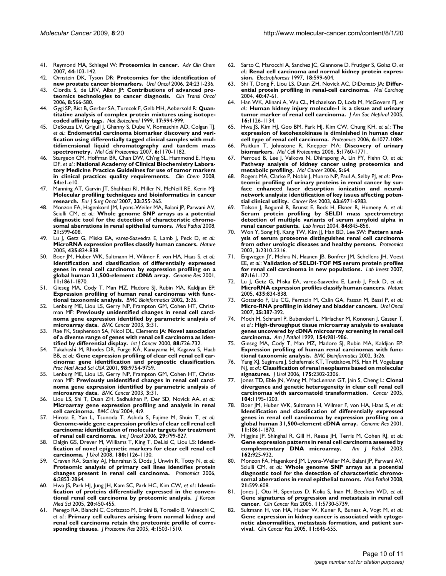- 41. Reymond MA, Schlegel W: **[Proteomics in cancer.](http://www.ncbi.nlm.nih.gov/entrez/query.fcgi?cmd=Retrieve&db=PubMed&dopt=Abstract&list_uids=17682341)** *Adv Clin Chem* 2007, **44:**103-142.
- 42. Ornstein DK, Tyson DR: **[Proteomics for the identification of](http://www.ncbi.nlm.nih.gov/entrez/query.fcgi?cmd=Retrieve&db=PubMed&dopt=Abstract&list_uids=16678055) [new prostate cancer biomarkers.](http://www.ncbi.nlm.nih.gov/entrez/query.fcgi?cmd=Retrieve&db=PubMed&dopt=Abstract&list_uids=16678055)** *Urol Oncol* 2006, **24:**231-236.
- 43. Ciordia S, de LRV, Albar JP: **[Contributions of advanced pro](http://www.ncbi.nlm.nih.gov/entrez/query.fcgi?cmd=Retrieve&db=PubMed&dopt=Abstract&list_uids=16952845)[teomics technologies to cancer diagnosis.](http://www.ncbi.nlm.nih.gov/entrez/query.fcgi?cmd=Retrieve&db=PubMed&dopt=Abstract&list_uids=16952845)** *Clin Transl Oncol* 2006, **8:**566-580.
- 44. Gygi SP, Rist B, Gerber SA, Turecek F, Gelb MH, Aebersold R: **[Quan](http://www.ncbi.nlm.nih.gov/entrez/query.fcgi?cmd=Retrieve&db=PubMed&dopt=Abstract&list_uids=10504701)[titative analysis of complex protein mixtures using isotope](http://www.ncbi.nlm.nih.gov/entrez/query.fcgi?cmd=Retrieve&db=PubMed&dopt=Abstract&list_uids=10504701)[coded affinity tags.](http://www.ncbi.nlm.nih.gov/entrez/query.fcgi?cmd=Retrieve&db=PubMed&dopt=Abstract&list_uids=10504701)** *Nat Biotechnol* 1999, **17:**994-999.
- 45. DeSouza LV, Grigull J, Ghanny S, Dube V, Romaschin AD, Colgan TJ, *et al.*: **[Endometrial carcinoma biomarker discovery and veri](http://www.ncbi.nlm.nih.gov/entrez/query.fcgi?cmd=Retrieve&db=PubMed&dopt=Abstract&list_uids=17374602)[fication using differentially tagged clinical samples with mul](http://www.ncbi.nlm.nih.gov/entrez/query.fcgi?cmd=Retrieve&db=PubMed&dopt=Abstract&list_uids=17374602)tidimensional liquid chromatography and tandem mass [spectrometry.](http://www.ncbi.nlm.nih.gov/entrez/query.fcgi?cmd=Retrieve&db=PubMed&dopt=Abstract&list_uids=17374602)** *Mol Cell Proteomics* 2007, **6:**1170-1182.
- Sturgeon CM, Hoffman BR, Chan DW, Ch'ng SL, Hammond E, Hayes DF, *et al.*: **[National Academy of Clinical Biochemistry Labora](http://www.ncbi.nlm.nih.gov/entrez/query.fcgi?cmd=Retrieve&db=PubMed&dopt=Abstract&list_uids=18606634)[tory Medicine Practice Guidelines for use of tumor markers](http://www.ncbi.nlm.nih.gov/entrez/query.fcgi?cmd=Retrieve&db=PubMed&dopt=Abstract&list_uids=18606634) [in clinical practice: quality requirements.](http://www.ncbi.nlm.nih.gov/entrez/query.fcgi?cmd=Retrieve&db=PubMed&dopt=Abstract&list_uids=18606634)** *Clin Chem* 2008, **54:**e1-e10.
- 47. Manning AT, Garvin JT, Shahbazi RI, Miller N, McNeill RE, Kerin MJ: **[Molecular profiling techniques and bioinformatics in cancer](http://www.ncbi.nlm.nih.gov/entrez/query.fcgi?cmd=Retrieve&db=PubMed&dopt=Abstract&list_uids=17071042) [research.](http://www.ncbi.nlm.nih.gov/entrez/query.fcgi?cmd=Retrieve&db=PubMed&dopt=Abstract&list_uids=17071042)** *Eur J Surg Oncol* 2007, **33:**255-265.
- 48. Monzon FA, Hagenkord JM, Lyons-Weiler MA, Balani JP, Parwani AV, Sciulli CM, *et al.*: **[Whole genome SNP arrays as a potential](http://www.ncbi.nlm.nih.gov/entrez/query.fcgi?cmd=Retrieve&db=PubMed&dopt=Abstract&list_uids=18246049) [diagnostic tool for the detection of characteristic chromo](http://www.ncbi.nlm.nih.gov/entrez/query.fcgi?cmd=Retrieve&db=PubMed&dopt=Abstract&list_uids=18246049)[somal aberrations in renal epithelial tumors.](http://www.ncbi.nlm.nih.gov/entrez/query.fcgi?cmd=Retrieve&db=PubMed&dopt=Abstract&list_uids=18246049)** *Mod Pathol* 2008, **21:**599-608.
- 49. Lu J, Getz G, Miska EA, varez-Saavedra E, Lamb J, Peck D, *et al.*: **[MicroRNA expression profiles classify human cancers.](http://www.ncbi.nlm.nih.gov/entrez/query.fcgi?cmd=Retrieve&db=PubMed&dopt=Abstract&list_uids=15944708)** *Nature* 2005, **435:**834-838.
- 50. Boer JM, Huber WK, Sultmann H, Wilmer F, von HA, Haas S, *et al.*: **[Identification and classification of differentially expressed](http://www.ncbi.nlm.nih.gov/entrez/query.fcgi?cmd=Retrieve&db=PubMed&dopt=Abstract&list_uids=11691851) genes in renal cell carcinoma by expression profiling on a [global human 31,500-element cDNA array.](http://www.ncbi.nlm.nih.gov/entrez/query.fcgi?cmd=Retrieve&db=PubMed&dopt=Abstract&list_uids=11691851)** *Genome Res* 2001, **11:**1861-1870.
- 51. Gieseg MA, Cody T, Man MZ, Madore SJ, Rubin MA, Kaldjian EP: **[Expression profiling of human renal carcinomas with func](http://www.ncbi.nlm.nih.gov/entrez/query.fcgi?cmd=Retrieve&db=PubMed&dopt=Abstract&list_uids=12356337)[tional taxonomic analysis.](http://www.ncbi.nlm.nih.gov/entrez/query.fcgi?cmd=Retrieve&db=PubMed&dopt=Abstract&list_uids=12356337)** *BMC Bioinformatics* 2002, **3:**26.
- Lenburg ME, Liou LS, Gerry NP, Frampton GM, Cohen HT, Christman MF: **[Previously unidentified changes in renal cell carci](http://www.ncbi.nlm.nih.gov/entrez/query.fcgi?cmd=Retrieve&db=PubMed&dopt=Abstract&list_uids=14641932)[noma gene expression identified by parametric analysis of](http://www.ncbi.nlm.nih.gov/entrez/query.fcgi?cmd=Retrieve&db=PubMed&dopt=Abstract&list_uids=14641932) [microarray data.](http://www.ncbi.nlm.nih.gov/entrez/query.fcgi?cmd=Retrieve&db=PubMed&dopt=Abstract&list_uids=14641932)** *BMC Cancer* 2003, **3:**31.
- 53. Rae FK, Stephenson SA, Nicol DL, Clements JA: **[Novel association](http://www.ncbi.nlm.nih.gov/entrez/query.fcgi?cmd=Retrieve&db=PubMed&dopt=Abstract&list_uids=11072240) [of a diverse range of genes with renal cell carcinoma as iden](http://www.ncbi.nlm.nih.gov/entrez/query.fcgi?cmd=Retrieve&db=PubMed&dopt=Abstract&list_uids=11072240)[tified by differential display.](http://www.ncbi.nlm.nih.gov/entrez/query.fcgi?cmd=Retrieve&db=PubMed&dopt=Abstract&list_uids=11072240)** *Int J Cancer* 2000, **88:**726-732.
- 54. Takahashi M, Rhodes DR, Furge KA, Kanayama H, Kagawa S, Haab BB, *et al.*: **[Gene expression profiling of clear cell renal cell car](http://www.ncbi.nlm.nih.gov/entrez/query.fcgi?cmd=Retrieve&db=PubMed&dopt=Abstract&list_uids=11493696)[cinoma: gene identification and prognostic classification.](http://www.ncbi.nlm.nih.gov/entrez/query.fcgi?cmd=Retrieve&db=PubMed&dopt=Abstract&list_uids=11493696)** *Proc Natl Acad Sci USA* 2001, **98:**9754-9759.
- 55. Lenburg ME, Liou LS, Gerry NP, Frampton GM, Cohen HT, Christman MF: **[Previously unidentified changes in renal cell carci](http://www.ncbi.nlm.nih.gov/entrez/query.fcgi?cmd=Retrieve&db=PubMed&dopt=Abstract&list_uids=14641932)[noma gene expression identified by parametric analysis of](http://www.ncbi.nlm.nih.gov/entrez/query.fcgi?cmd=Retrieve&db=PubMed&dopt=Abstract&list_uids=14641932) [microarray data.](http://www.ncbi.nlm.nih.gov/entrez/query.fcgi?cmd=Retrieve&db=PubMed&dopt=Abstract&list_uids=14641932)** *BMC Cancer* 2003, **3:**31.
- 56. Liou LS, Shi T, Duan ZH, Sadhukhan P, Der SD, Novick AA, *et al.*: **[Microarray gene expression profiling and analysis in renal](http://www.ncbi.nlm.nih.gov/entrez/query.fcgi?cmd=Retrieve&db=PubMed&dopt=Abstract&list_uids=15212686) [cell carcinoma.](http://www.ncbi.nlm.nih.gov/entrez/query.fcgi?cmd=Retrieve&db=PubMed&dopt=Abstract&list_uids=15212686)** *BMC Urol* 2004, **4:**9.
- 57. Hirota E, Yan L, Tsunoda T, Ashida S, Fujime M, Shuin T, *et al.*: **[Genome-wide gene expression profiles of clear cell renal cell](http://www.ncbi.nlm.nih.gov/entrez/query.fcgi?cmd=Retrieve&db=PubMed&dopt=Abstract&list_uids=16964377) carcinoma: identification of molecular targets for treatment [of renal cell carcinoma.](http://www.ncbi.nlm.nih.gov/entrez/query.fcgi?cmd=Retrieve&db=PubMed&dopt=Abstract&list_uids=16964377)** *Int J Oncol* 2006, **29:**799-827.
- 58. Dalgin GS, Drever M, Williams T, King T, DeLisi C, Liou LS: **[Identi](http://www.ncbi.nlm.nih.gov/entrez/query.fcgi?cmd=Retrieve&db=PubMed&dopt=Abstract&list_uids=18639284)[fication of novel epigenetic markers for clear cell renal cell](http://www.ncbi.nlm.nih.gov/entrez/query.fcgi?cmd=Retrieve&db=PubMed&dopt=Abstract&list_uids=18639284) [carcinoma.](http://www.ncbi.nlm.nih.gov/entrez/query.fcgi?cmd=Retrieve&db=PubMed&dopt=Abstract&list_uids=18639284)** *J Urol* 2008, **180:**1126-1130.
- 59. Craven RA, Stanley AJ, Hanrahan S, Dods J, Unwin R, Totty N, *et al.*: **[Proteomic analysis of primary cell lines identifies protein](http://www.ncbi.nlm.nih.gov/entrez/query.fcgi?cmd=Retrieve&db=PubMed&dopt=Abstract&list_uids=16596713) [changes present in renal cell carcinoma.](http://www.ncbi.nlm.nih.gov/entrez/query.fcgi?cmd=Retrieve&db=PubMed&dopt=Abstract&list_uids=16596713)** *Proteomics* 2006, **6:**2853-2864.
- 60. Hwa JS, Park HJ, Jung JH, Kam SC, Park HC, Kim CW, *et al.*: **[Identi](http://www.ncbi.nlm.nih.gov/entrez/query.fcgi?cmd=Retrieve&db=PubMed&dopt=Abstract&list_uids=15953868)[fication of proteins differentially expressed in the conven](http://www.ncbi.nlm.nih.gov/entrez/query.fcgi?cmd=Retrieve&db=PubMed&dopt=Abstract&list_uids=15953868)[tional renal cell carcinoma by proteomic analysis.](http://www.ncbi.nlm.nih.gov/entrez/query.fcgi?cmd=Retrieve&db=PubMed&dopt=Abstract&list_uids=15953868)** *J Korean Med Sci* 2005, **20:**450-455.
- 61. Perego RA, Bianchi C, Corizzato M, Eroini B, Torsello B, Valsecchi C, *et al.*: **[Primary cell cultures arising from normal kidney and](http://www.ncbi.nlm.nih.gov/entrez/query.fcgi?cmd=Retrieve&db=PubMed&dopt=Abstract&list_uids=16212400) [renal cell carcinoma retain the proteomic profile of corre](http://www.ncbi.nlm.nih.gov/entrez/query.fcgi?cmd=Retrieve&db=PubMed&dopt=Abstract&list_uids=16212400)[sponding tissues.](http://www.ncbi.nlm.nih.gov/entrez/query.fcgi?cmd=Retrieve&db=PubMed&dopt=Abstract&list_uids=16212400)** *J Proteome Res* 2005, **4:**1503-1510.
- 62. Sarto C, Marocchi A, Sanchez JC, Giannone D, Frutiger S, Golaz O, *et al.*: **[Renal cell carcinoma and normal kidney protein expres](http://www.ncbi.nlm.nih.gov/entrez/query.fcgi?cmd=Retrieve&db=PubMed&dopt=Abstract&list_uids=9150947)[sion.](http://www.ncbi.nlm.nih.gov/entrez/query.fcgi?cmd=Retrieve&db=PubMed&dopt=Abstract&list_uids=9150947)** *Electrophoresis* 1997, **18:**599-604.
- 63. Shi T, Dong F, Liou LS, Duan ZH, Novick AC, DiDonato JA: **[Differ](http://www.ncbi.nlm.nih.gov/entrez/query.fcgi?cmd=Retrieve&db=PubMed&dopt=Abstract&list_uids=15108329)[ential protein profiling in renal-cell carcinoma.](http://www.ncbi.nlm.nih.gov/entrez/query.fcgi?cmd=Retrieve&db=PubMed&dopt=Abstract&list_uids=15108329)** *Mol Carcinog* 2004, **40:**47-61.
- 64. Han WK, Alinani A, Wu CL, Michaelson D, Loda M, McGovern FJ, *et al.*: **[Human kidney injury molecule-1 is a tissue and urinary](http://www.ncbi.nlm.nih.gov/entrez/query.fcgi?cmd=Retrieve&db=PubMed&dopt=Abstract&list_uids=15744000) [tumor marker of renal cell carcinoma.](http://www.ncbi.nlm.nih.gov/entrez/query.fcgi?cmd=Retrieve&db=PubMed&dopt=Abstract&list_uids=15744000)** *J Am Soc Nephrol* 2005, **16:**1126-1134.
- 65. Hwa JS, Kim HJ, Goo BM, Park HJ, Kim CW, Chung KH, *et al.*: **[The](http://www.ncbi.nlm.nih.gov/entrez/query.fcgi?cmd=Retrieve&db=PubMed&dopt=Abstract&list_uids=16372272) [expression of ketohexokinase is diminished in human clear](http://www.ncbi.nlm.nih.gov/entrez/query.fcgi?cmd=Retrieve&db=PubMed&dopt=Abstract&list_uids=16372272) [cell type of renal cell carcinoma.](http://www.ncbi.nlm.nih.gov/entrez/query.fcgi?cmd=Retrieve&db=PubMed&dopt=Abstract&list_uids=16372272)** *Proteomics* 2006, **6:**1077-1084.
- 66. Pisitkun T, Johnstone R, Knepper MA: **[Discovery of urinary](http://www.ncbi.nlm.nih.gov/entrez/query.fcgi?cmd=Retrieve&db=PubMed&dopt=Abstract&list_uids=16837576) [biomarkers.](http://www.ncbi.nlm.nih.gov/entrez/query.fcgi?cmd=Retrieve&db=PubMed&dopt=Abstract&list_uids=16837576)** *Mol Cell Proteomics* 2006, **5:**1760-1771.
- 67. Perroud B, Lee J, Valkova N, Dhirapong A, Lin PY, Fiehn O, *et al.*: **[Pathway analysis of kidney cancer using proteomics and](http://www.ncbi.nlm.nih.gov/entrez/query.fcgi?cmd=Retrieve&db=PubMed&dopt=Abstract&list_uids=17123452) [metabolic profiling.](http://www.ncbi.nlm.nih.gov/entrez/query.fcgi?cmd=Retrieve&db=PubMed&dopt=Abstract&list_uids=17123452)** *Mol Cancer* 2006, **5:**64.
- 68. Rogers MA, Clarke P, Noble J, Munro NP, Paul A, Selby PJ, *et al.*: **[Pro](http://www.ncbi.nlm.nih.gov/entrez/query.fcgi?cmd=Retrieve&db=PubMed&dopt=Abstract&list_uids=14583499)teomic profiling of urinary proteins in renal cancer by sur[face enhanced laser desorption ionization and neural](http://www.ncbi.nlm.nih.gov/entrez/query.fcgi?cmd=Retrieve&db=PubMed&dopt=Abstract&list_uids=14583499)network analysis: identification of key issues affecting poten[tial clinical utility.](http://www.ncbi.nlm.nih.gov/entrez/query.fcgi?cmd=Retrieve&db=PubMed&dopt=Abstract&list_uids=14583499)** *Cancer Res* 2003, **63:**6971-6983.
- 69. Tolson J, Bogumil R, Brunst E, Beck H, Elsner R, Humeny A, *et al.*: **[Serum protein profiling by SELDI mass spectrometry:](http://www.ncbi.nlm.nih.gov/entrez/query.fcgi?cmd=Retrieve&db=PubMed&dopt=Abstract&list_uids=15107802) detection of multiple variants of serum amyloid alpha in [renal cancer patients.](http://www.ncbi.nlm.nih.gov/entrez/query.fcgi?cmd=Retrieve&db=PubMed&dopt=Abstract&list_uids=15107802)** *Lab Invest* 2004, **84:**845-856.
- 70. Won Y, Song HJ, Kang TW, Kim JJ, Han BD, Lee SW: **[Pattern anal](http://www.ncbi.nlm.nih.gov/entrez/query.fcgi?cmd=Retrieve&db=PubMed&dopt=Abstract&list_uids=14673781)[ysis of serum proteome distinguishes renal cell carcinoma](http://www.ncbi.nlm.nih.gov/entrez/query.fcgi?cmd=Retrieve&db=PubMed&dopt=Abstract&list_uids=14673781) [from other urologic diseases and healthy persons.](http://www.ncbi.nlm.nih.gov/entrez/query.fcgi?cmd=Retrieve&db=PubMed&dopt=Abstract&list_uids=14673781)** *Proteomics* 2003, **3:**2310-2316.
- 71. Engwegen JY, Mehra N, Haanen JB, Bonfrer JM, Schellens JH, Voest EE, *et al.*: **[Validation of SELDI-TOF MS serum protein profiles](http://www.ncbi.nlm.nih.gov/entrez/query.fcgi?cmd=Retrieve&db=PubMed&dopt=Abstract&list_uids=17318195) [for renal cell carcinoma in new populations.](http://www.ncbi.nlm.nih.gov/entrez/query.fcgi?cmd=Retrieve&db=PubMed&dopt=Abstract&list_uids=17318195)** *Lab Invest* 2007, **87:**161-172.
- 72. Lu J, Getz G, Miska EA, varez-Saavedra E, Lamb J, Peck D, *et al.*: **[MicroRNA expression profiles classify human cancers.](http://www.ncbi.nlm.nih.gov/entrez/query.fcgi?cmd=Retrieve&db=PubMed&dopt=Abstract&list_uids=15944708)** *Nature* 2005, **435:**834-838.
- 73. Gottardo F, Liu CG, Ferracin M, Calin GA, Fassan M, Bassi P, *et al.*: **[Micro-RNA profiling in kidney and bladder cancers.](http://www.ncbi.nlm.nih.gov/entrez/query.fcgi?cmd=Retrieve&db=PubMed&dopt=Abstract&list_uids=17826655)** *Urol Oncol* 2007, **25:**387-392.
- 74. Moch H, Schraml P, Bubendorf L, Mirlacher M, Kononen J, Gasser T, *et al.*: **[High-throughput tissue microarray analysis to evaluate](http://www.ncbi.nlm.nih.gov/entrez/query.fcgi?cmd=Retrieve&db=PubMed&dopt=Abstract&list_uids=10233835) [genes uncovered by cDNA microarray screening in renal cell](http://www.ncbi.nlm.nih.gov/entrez/query.fcgi?cmd=Retrieve&db=PubMed&dopt=Abstract&list_uids=10233835) [carcinoma.](http://www.ncbi.nlm.nih.gov/entrez/query.fcgi?cmd=Retrieve&db=PubMed&dopt=Abstract&list_uids=10233835)** *Am J Pathol* 1999, **154:**981-986.
- 75. Gieseg MA, Cody T, Man MZ, Madore SJ, Rubin MA, Kaldjian EP: **[Expression profiling of human renal carcinomas with func](http://www.ncbi.nlm.nih.gov/entrez/query.fcgi?cmd=Retrieve&db=PubMed&dopt=Abstract&list_uids=12356337)[tional taxonomic analysis.](http://www.ncbi.nlm.nih.gov/entrez/query.fcgi?cmd=Retrieve&db=PubMed&dopt=Abstract&list_uids=12356337)** *BMC Bioinformatics* 2002, **3:**26.
- Yang XJ, Sugimura J, Schafernak KT, Tretiakova MS, Han M, Vogelzang NJ, *et al.*: **[Classification of renal neoplasms based on molecular](http://www.ncbi.nlm.nih.gov/entrez/query.fcgi?cmd=Retrieve&db=PubMed&dopt=Abstract&list_uids=16697863) [signatures.](http://www.ncbi.nlm.nih.gov/entrez/query.fcgi?cmd=Retrieve&db=PubMed&dopt=Abstract&list_uids=16697863)** *J Urol* 2006, **175:**2302-2306.
- 77. Jones TD, Eble JN, Wang M, MacLennan GT, Jain S, Cheng L: **[Clonal](http://www.ncbi.nlm.nih.gov/entrez/query.fcgi?cmd=Retrieve&db=PubMed&dopt=Abstract&list_uids=16047350) [divergence and genetic heterogeneity in clear cell renal cell](http://www.ncbi.nlm.nih.gov/entrez/query.fcgi?cmd=Retrieve&db=PubMed&dopt=Abstract&list_uids=16047350) [carcinomas with sarcomatoid transformation.](http://www.ncbi.nlm.nih.gov/entrez/query.fcgi?cmd=Retrieve&db=PubMed&dopt=Abstract&list_uids=16047350)** *Cancer* 2005, **104:**1195-1203.
- 78. Boer JM, Huber WK, Sultmann H, Wilmer F, von HA, Haas S, *et al.*: **[Identification and classification of differentially expressed](http://www.ncbi.nlm.nih.gov/entrez/query.fcgi?cmd=Retrieve&db=PubMed&dopt=Abstract&list_uids=11691851) genes in renal cell carcinoma by expression profiling on a [global human 31,500-element cDNA array.](http://www.ncbi.nlm.nih.gov/entrez/query.fcgi?cmd=Retrieve&db=PubMed&dopt=Abstract&list_uids=11691851)** *Genome Res* 2001, **11:**1861-1870.
- 79. Higgins JP, Shinghal R, Gill H, Reese JH, Terris M, Cohen RJ, *et al.*: **[Gene expression patterns in renal cell carcinoma assessed by](http://www.ncbi.nlm.nih.gov/entrez/query.fcgi?cmd=Retrieve&db=PubMed&dopt=Abstract&list_uids=12598325)<br>complementary DNA microarray.** Am I Pathol 2003. complementary **DNA** microarray. **162:**925-932.
- 80. Monzon FA, Hagenkord JM, Lyons-Weiler MA, Balani JP, Parwani AV, Sciulli CM, *et al.*: **[Whole genome SNP arrays as a potential](http://www.ncbi.nlm.nih.gov/entrez/query.fcgi?cmd=Retrieve&db=PubMed&dopt=Abstract&list_uids=18246049) [diagnostic tool for the detection of characteristic chromo](http://www.ncbi.nlm.nih.gov/entrez/query.fcgi?cmd=Retrieve&db=PubMed&dopt=Abstract&list_uids=18246049)[somal aberrations in renal epithelial tumors.](http://www.ncbi.nlm.nih.gov/entrez/query.fcgi?cmd=Retrieve&db=PubMed&dopt=Abstract&list_uids=18246049)** *Mod Pathol* 2008, **21:**599-608.
- 81. Jones J, Otu H, Spentzos D, Kolia S, Inan M, Beecken WD, *et al.*: **[Gene signatures of progression and metastasis in renal cell](http://www.ncbi.nlm.nih.gov/entrez/query.fcgi?cmd=Retrieve&db=PubMed&dopt=Abstract&list_uids=16115910) [cancer.](http://www.ncbi.nlm.nih.gov/entrez/query.fcgi?cmd=Retrieve&db=PubMed&dopt=Abstract&list_uids=16115910)** *Clin Cancer Res* 2005, **11:**5730-5739.
- 82. Sultmann H, von HA, Huber W, Kuner R, Buness A, Vogt M, *et al.*: **[Gene expression in kidney cancer is associated with cytoge](http://www.ncbi.nlm.nih.gov/entrez/query.fcgi?cmd=Retrieve&db=PubMed&dopt=Abstract&list_uids=15701852)netic abnormalities, metastasis formation, and patient sur[vival.](http://www.ncbi.nlm.nih.gov/entrez/query.fcgi?cmd=Retrieve&db=PubMed&dopt=Abstract&list_uids=15701852)** *Clin Cancer Res* 2005, **11:**646-655.